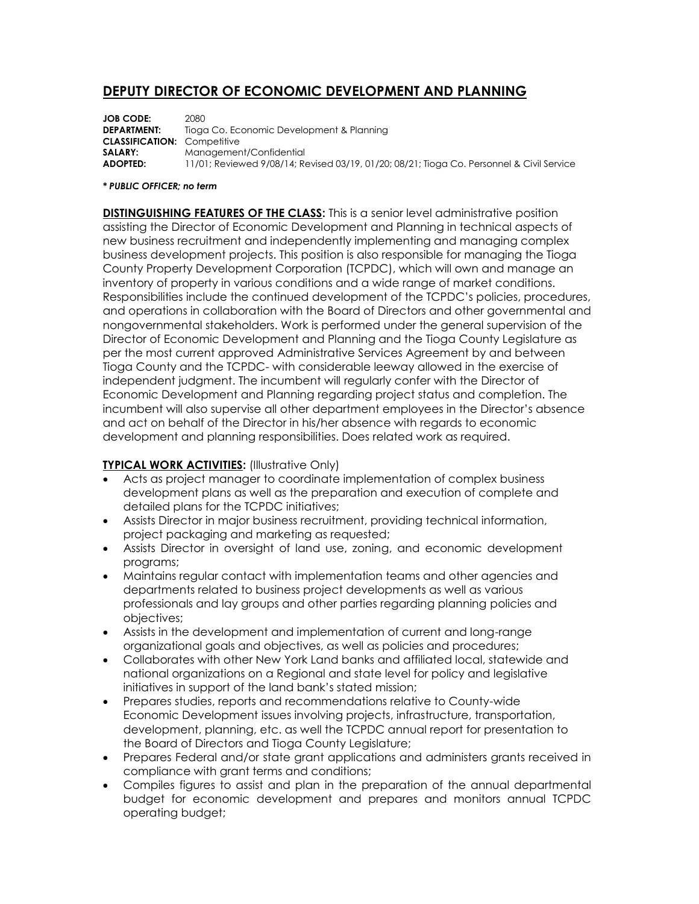# **DEPUTY DIRECTOR OF ECONOMIC DEVELOPMENT AND PLANNING**

**JOB CODE:** 2080<br>**DEPARTMENT:** Tiogo Tioga Co. Economic Development & Planning **CLASSIFICATION:** Competitive **SALARY:** Management/Confidential **ADOPTED:** 11/01; Reviewed 9/08/14; Revised 03/19, 01/20; 08/21; Tioga Co. Personnel & Civil Service

#### *\* PUBLIC OFFICER; no term*

**DISTINGUISHING FEATURES OF THE CLASS:** This is a senior level administrative position assisting the Director of Economic Development and Planning in technical aspects of new business recruitment and independently implementing and managing complex business development projects. This position is also responsible for managing the Tioga County Property Development Corporation (TCPDC), which will own and manage an inventory of property in various conditions and a wide range of market conditions. Responsibilities include the continued development of the TCPDC's policies, procedures, and operations in collaboration with the Board of Directors and other governmental and nongovernmental stakeholders. Work is performed under the general supervision of the Director of Economic Development and Planning and the Tioga County Legislature as per the most current approved Administrative Services Agreement by and between Tioga County and the TCPDC- with considerable leeway allowed in the exercise of independent judgment. The incumbent will regularly confer with the Director of Economic Development and Planning regarding project status and completion. The incumbent will also supervise all other department employees in the Director's absence and act on behalf of the Director in his/her absence with regards to economic development and planning responsibilities. Does related work as required.

## **TYPICAL WORK ACTIVITIES:** (Illustrative Only)

- Acts as project manager to coordinate implementation of complex business development plans as well as the preparation and execution of complete and detailed plans for the TCPDC initiatives;
- Assists Director in major business recruitment, providing technical information, project packaging and marketing as requested;
- Assists Director in oversight of land use, zoning, and economic development programs;
- Maintains regular contact with implementation teams and other agencies and departments related to business project developments as well as various professionals and lay groups and other parties regarding planning policies and objectives;
- Assists in the development and implementation of current and long-range organizational goals and objectives, as well as policies and procedures;
- Collaborates with other New York Land banks and affiliated local, statewide and national organizations on a Regional and state level for policy and legislative initiatives in support of the land bank's stated mission;
- Prepares studies, reports and recommendations relative to County-wide Economic Development issues involving projects, infrastructure, transportation, development, planning, etc. as well the TCPDC annual report for presentation to the Board of Directors and Tioga County Legislature;
- Prepares Federal and/or state grant applications and administers grants received in compliance with grant terms and conditions;
- Compiles figures to assist and plan in the preparation of the annual departmental budget for economic development and prepares and monitors annual TCPDC operating budget;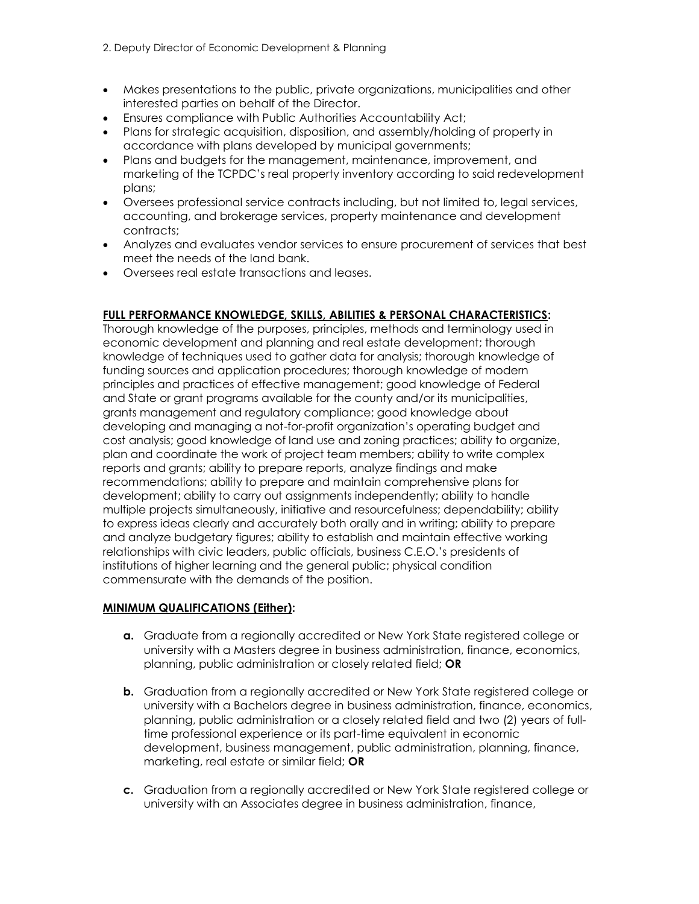- Makes presentations to the public, private organizations, municipalities and other interested parties on behalf of the Director.
- Ensures compliance with Public Authorities Accountability Act;
- Plans for strategic acquisition, disposition, and assembly/holding of property in accordance with plans developed by municipal governments;
- Plans and budgets for the management, maintenance, improvement, and marketing of the TCPDC's real property inventory according to said redevelopment plans;
- Oversees professional service contracts including, but not limited to, legal services, accounting, and brokerage services, property maintenance and development contracts:
- Analyzes and evaluates vendor services to ensure procurement of services that best meet the needs of the land bank.
- Oversees real estate transactions and leases.

## **FULL PERFORMANCE KNOWLEDGE, SKILLS, ABILITIES & PERSONAL CHARACTERISTICS:**

Thorough knowledge of the purposes, principles, methods and terminology used in economic development and planning and real estate development; thorough knowledge of techniques used to gather data for analysis; thorough knowledge of funding sources and application procedures; thorough knowledge of modern principles and practices of effective management; good knowledge of Federal and State or grant programs available for the county and/or its municipalities, grants management and regulatory compliance; good knowledge about developing and managing a not-for-profit organization's operating budget and cost analysis; good knowledge of land use and zoning practices; ability to organize, plan and coordinate the work of project team members; ability to write complex reports and grants; ability to prepare reports, analyze findings and make recommendations; ability to prepare and maintain comprehensive plans for development; ability to carry out assignments independently; ability to handle multiple projects simultaneously, initiative and resourcefulness; dependability; ability to express ideas clearly and accurately both orally and in writing; ability to prepare and analyze budgetary figures; ability to establish and maintain effective working relationships with civic leaders, public officials, business C.E.O.'s presidents of institutions of higher learning and the general public; physical condition commensurate with the demands of the position.

#### **MINIMUM QUALIFICATIONS (Either):**

- **a.** Graduate from a regionally accredited or New York State registered college or university with a Masters degree in business administration, finance, economics, planning, public administration or closely related field; **OR**
- **b.** Graduation from a regionally accredited or New York State registered college or university with a Bachelors degree in business administration, finance, economics, planning, public administration or a closely related field and two (2) years of fulltime professional experience or its part-time equivalent in economic development, business management, public administration, planning, finance, marketing, real estate or similar field; **OR**
- **c.** Graduation from a regionally accredited or New York State registered college or university with an Associates degree in business administration, finance,